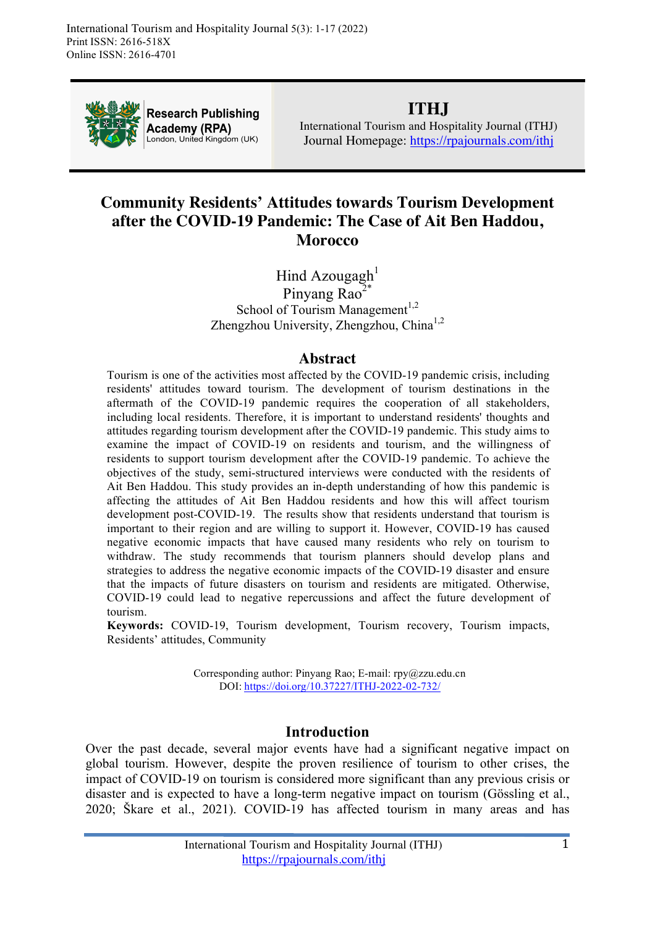

**Research Publishing** Academy (RPA) London, United Kingdom (UK)

# **ITHJ**

International Tourism and Hospitality Journal (ITHJ) Journal Homepage: https://rpajournals.com/ithj

# **Community Residents' Attitudes towards Tourism Development after the COVID-19 Pandemic: The Case of Ait Ben Haddou, Morocco**

Hind Azougagh<sup>1</sup> Pinyang Rao $2^*$ School of Tourism Management<sup>1,2</sup> Zhengzhou University, Zhengzhou, China<sup>1,2</sup>

### **Abstract**

Tourism is one of the activities most affected by the COVID-19 pandemic crisis, including residents' attitudes toward tourism. The development of tourism destinations in the aftermath of the COVID-19 pandemic requires the cooperation of all stakeholders, including local residents. Therefore, it is important to understand residents' thoughts and attitudes regarding tourism development after the COVID-19 pandemic. This study aims to examine the impact of COVID-19 on residents and tourism, and the willingness of residents to support tourism development after the COVID-19 pandemic. To achieve the objectives of the study, semi-structured interviews were conducted with the residents of Ait Ben Haddou. This study provides an in-depth understanding of how this pandemic is affecting the attitudes of Ait Ben Haddou residents and how this will affect tourism development post-COVID-19. The results show that residents understand that tourism is important to their region and are willing to support it. However, COVID-19 has caused negative economic impacts that have caused many residents who rely on tourism to withdraw. The study recommends that tourism planners should develop plans and strategies to address the negative economic impacts of the COVID-19 disaster and ensure that the impacts of future disasters on tourism and residents are mitigated. Otherwise, COVID-19 could lead to negative repercussions and affect the future development of tourism.

**Keywords:** COVID-19, Tourism development, Tourism recovery, Tourism impacts, Residents' attitudes, Community

> Corresponding author: Pinyang Rao; E-mail: rpy@zzu.edu.cn DOI: https://doi.org/10.37227/ITHJ-2022-02-732/

### **Introduction**

Over the past decade, several major events have had a significant negative impact on global tourism. However, despite the proven resilience of tourism to other crises, the impact of COVID-19 on tourism is considered more significant than any previous crisis or disaster and is expected to have a long-term negative impact on tourism (Gössling et al., 2020; Škare et al., 2021). COVID-19 has affected tourism in many areas and has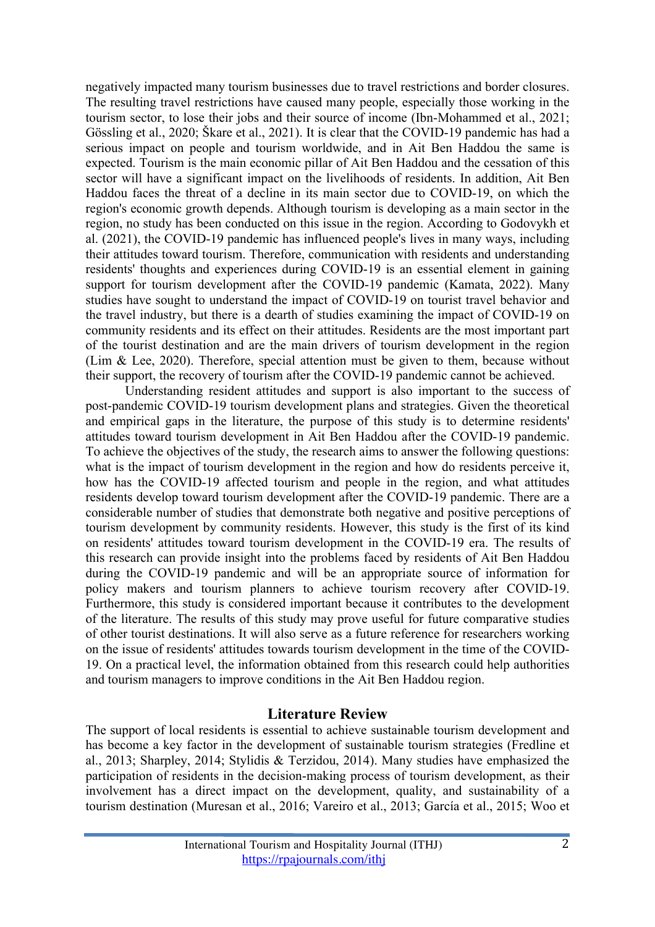negatively impacted many tourism businesses due to travel restrictions and border closures. The resulting travel restrictions have caused many people, especially those working in the tourism sector, to lose their jobs and their source of income (Ibn-Mohammed et al., 2021; Gössling et al., 2020; Škare et al., 2021). It is clear that the COVID-19 pandemic has had a serious impact on people and tourism worldwide, and in Ait Ben Haddou the same is expected. Tourism is the main economic pillar of Ait Ben Haddou and the cessation of this sector will have a significant impact on the livelihoods of residents. In addition, Ait Ben Haddou faces the threat of a decline in its main sector due to COVID-19, on which the region's economic growth depends. Although tourism is developing as a main sector in the region, no study has been conducted on this issue in the region. According to Godovykh et al. (2021), the COVID-19 pandemic has influenced people's lives in many ways, including their attitudes toward tourism. Therefore, communication with residents and understanding residents' thoughts and experiences during COVID-19 is an essential element in gaining support for tourism development after the COVID-19 pandemic (Kamata, 2022). Many studies have sought to understand the impact of COVID-19 on tourist travel behavior and the travel industry, but there is a dearth of studies examining the impact of COVID-19 on community residents and its effect on their attitudes. Residents are the most important part of the tourist destination and are the main drivers of tourism development in the region (Lim & Lee, 2020). Therefore, special attention must be given to them, because without their support, the recovery of tourism after the COVID-19 pandemic cannot be achieved.

Understanding resident attitudes and support is also important to the success of post-pandemic COVID-19 tourism development plans and strategies. Given the theoretical and empirical gaps in the literature, the purpose of this study is to determine residents' attitudes toward tourism development in Ait Ben Haddou after the COVID-19 pandemic. To achieve the objectives of the study, the research aims to answer the following questions: what is the impact of tourism development in the region and how do residents perceive it, how has the COVID-19 affected tourism and people in the region, and what attitudes residents develop toward tourism development after the COVID-19 pandemic. There are a considerable number of studies that demonstrate both negative and positive perceptions of tourism development by community residents. However, this study is the first of its kind on residents' attitudes toward tourism development in the COVID-19 era. The results of this research can provide insight into the problems faced by residents of Ait Ben Haddou during the COVID-19 pandemic and will be an appropriate source of information for policy makers and tourism planners to achieve tourism recovery after COVID-19. Furthermore, this study is considered important because it contributes to the development of the literature. The results of this study may prove useful for future comparative studies of other tourist destinations. It will also serve as a future reference for researchers working on the issue of residents' attitudes towards tourism development in the time of the COVID-19. On a practical level, the information obtained from this research could help authorities and tourism managers to improve conditions in the Ait Ben Haddou region.

### **Literature Review**

The support of local residents is essential to achieve sustainable tourism development and has become a key factor in the development of sustainable tourism strategies (Fredline et al., 2013; Sharpley, 2014; Stylidis & Terzidou, 2014). Many studies have emphasized the participation of residents in the decision-making process of tourism development, as their involvement has a direct impact on the development, quality, and sustainability of a tourism destination (Muresan et al., 2016; Vareiro et al., 2013; García et al., 2015; Woo et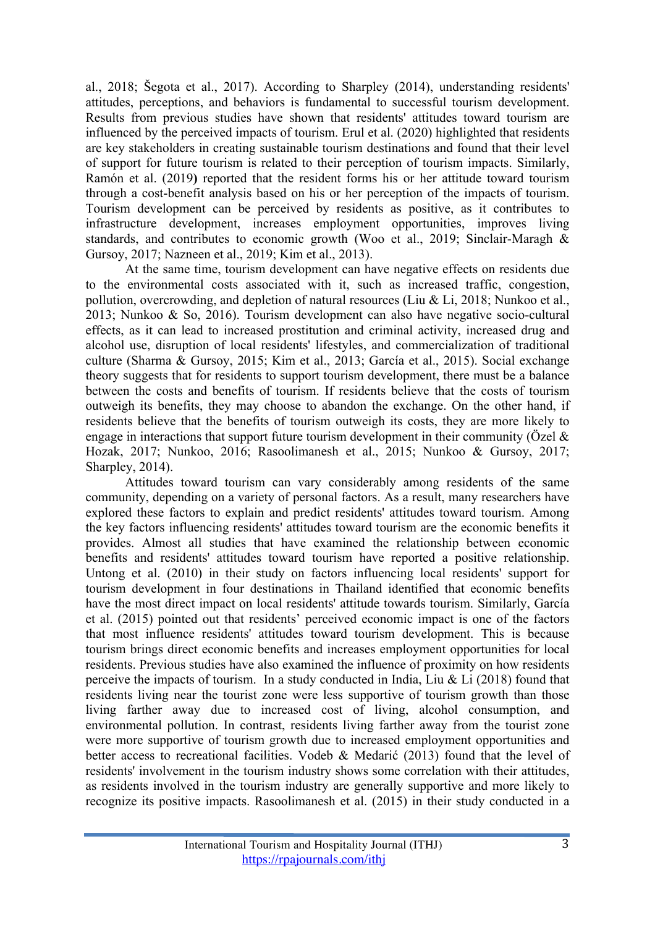al., 2018; Šegota et al., 2017). According to Sharpley (2014), understanding residents' attitudes, perceptions, and behaviors is fundamental to successful tourism development. Results from previous studies have shown that residents' attitudes toward tourism are influenced by the perceived impacts of tourism. Erul et al. (2020) highlighted that residents are key stakeholders in creating sustainable tourism destinations and found that their level of support for future tourism is related to their perception of tourism impacts. Similarly, Ramón et al. (2019**)** reported that the resident forms his or her attitude toward tourism through a cost-benefit analysis based on his or her perception of the impacts of tourism. Tourism development can be perceived by residents as positive, as it contributes to infrastructure development, increases employment opportunities, improves living standards, and contributes to economic growth (Woo et al., 2019; Sinclair-Maragh & Gursoy, 2017; Nazneen et al., 2019; Kim et al., 2013).

At the same time, tourism development can have negative effects on residents due to the environmental costs associated with it, such as increased traffic, congestion, pollution, overcrowding, and depletion of natural resources (Liu & Li, 2018; Nunkoo et al., 2013; Nunkoo & So, 2016). Tourism development can also have negative socio-cultural effects, as it can lead to increased prostitution and criminal activity, increased drug and alcohol use, disruption of local residents' lifestyles, and commercialization of traditional culture (Sharma & Gursoy, 2015; Kim et al., 2013; García et al., 2015). Social exchange theory suggests that for residents to support tourism development, there must be a balance between the costs and benefits of tourism. If residents believe that the costs of tourism outweigh its benefits, they may choose to abandon the exchange. On the other hand, if residents believe that the benefits of tourism outweigh its costs, they are more likely to engage in interactions that support future tourism development in their community (Özel  $\&$ Hozak, 2017; Nunkoo, 2016; Rasoolimanesh et al., 2015; Nunkoo & Gursoy, 2017; Sharpley, 2014).

Attitudes toward tourism can vary considerably among residents of the same community, depending on a variety of personal factors. As a result, many researchers have explored these factors to explain and predict residents' attitudes toward tourism. Among the key factors influencing residents' attitudes toward tourism are the economic benefits it provides. Almost all studies that have examined the relationship between economic benefits and residents' attitudes toward tourism have reported a positive relationship. Untong et al. (2010) in their study on factors influencing local residents' support for tourism development in four destinations in Thailand identified that economic benefits have the most direct impact on local residents' attitude towards tourism. Similarly, García et al. (2015) pointed out that residents' perceived economic impact is one of the factors that most influence residents' attitudes toward tourism development. This is because tourism brings direct economic benefits and increases employment opportunities for local residents. Previous studies have also examined the influence of proximity on how residents perceive the impacts of tourism. In a study conducted in India, Liu & Li  $(2018)$  found that residents living near the tourist zone were less supportive of tourism growth than those living farther away due to increased cost of living, alcohol consumption, and environmental pollution. In contrast, residents living farther away from the tourist zone were more supportive of tourism growth due to increased employment opportunities and better access to recreational facilities. Vodeb & Medarić (2013) found that the level of residents' involvement in the tourism industry shows some correlation with their attitudes, as residents involved in the tourism industry are generally supportive and more likely to recognize its positive impacts. Rasoolimanesh et al. (2015) in their study conducted in a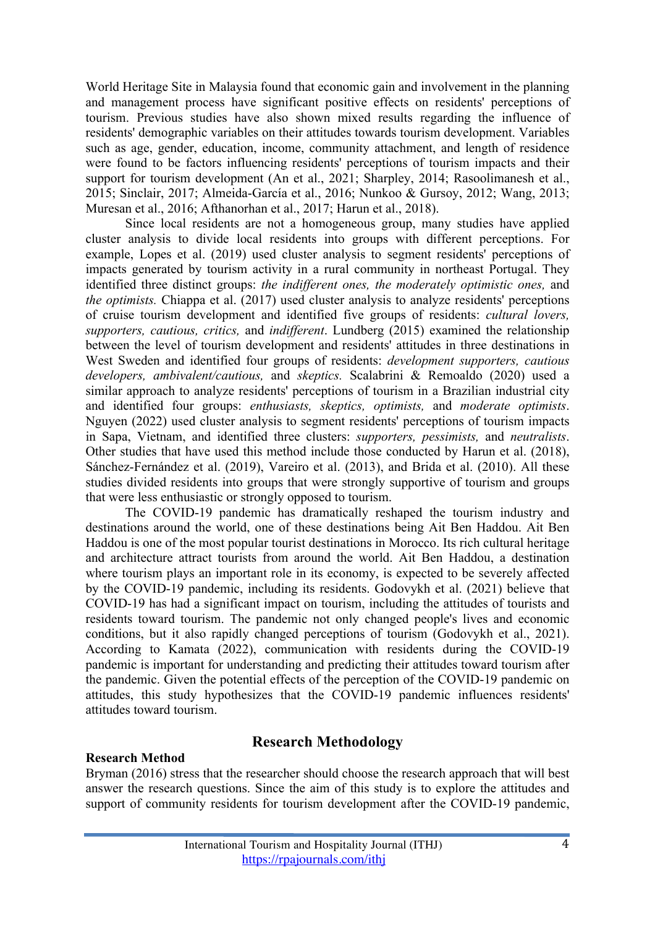World Heritage Site in Malaysia found that economic gain and involvement in the planning and management process have significant positive effects on residents' perceptions of tourism. Previous studies have also shown mixed results regarding the influence of residents' demographic variables on their attitudes towards tourism development. Variables such as age, gender, education, income, community attachment, and length of residence were found to be factors influencing residents' perceptions of tourism impacts and their support for tourism development (An et al., 2021; Sharpley, 2014; Rasoolimanesh et al., 2015; Sinclair, 2017; Almeida-García et al., 2016; Nunkoo & Gursoy, 2012; Wang, 2013; Muresan et al., 2016; Afthanorhan et al., 2017; Harun et al., 2018).

Since local residents are not a homogeneous group, many studies have applied cluster analysis to divide local residents into groups with different perceptions. For example, Lopes et al. (2019) used cluster analysis to segment residents' perceptions of impacts generated by tourism activity in a rural community in northeast Portugal. They identified three distinct groups: *the indifferent ones, the moderately optimistic ones,* and *the optimists.* Chiappa et al. (2017) used cluster analysis to analyze residents' perceptions of cruise tourism development and identified five groups of residents: *cultural lovers, supporters, cautious, critics,* and *indifferent*. Lundberg (2015) examined the relationship between the level of tourism development and residents' attitudes in three destinations in West Sweden and identified four groups of residents: *development supporters, cautious developers, ambivalent/cautious,* and *skeptics.* Scalabrini & Remoaldo (2020) used a similar approach to analyze residents' perceptions of tourism in a Brazilian industrial city and identified four groups: *enthusiasts, skeptics, optimists,* and *moderate optimists*. Nguyen (2022) used cluster analysis to segment residents' perceptions of tourism impacts in Sapa, Vietnam, and identified three clusters: *supporters, pessimists,* and *neutralists*. Other studies that have used this method include those conducted by Harun et al. (2018), Sánchez-Fernández et al. (2019), Vareiro et al. (2013), and Brida et al. (2010). All these studies divided residents into groups that were strongly supportive of tourism and groups that were less enthusiastic or strongly opposed to tourism.

The COVID-19 pandemic has dramatically reshaped the tourism industry and destinations around the world, one of these destinations being Ait Ben Haddou. Ait Ben Haddou is one of the most popular tourist destinations in Morocco. Its rich cultural heritage and architecture attract tourists from around the world. Ait Ben Haddou, a destination where tourism plays an important role in its economy, is expected to be severely affected by the COVID-19 pandemic, including its residents. Godovykh et al. (2021) believe that COVID-19 has had a significant impact on tourism, including the attitudes of tourists and residents toward tourism. The pandemic not only changed people's lives and economic conditions, but it also rapidly changed perceptions of tourism (Godovykh et al., 2021). According to Kamata (2022), communication with residents during the COVID-19 pandemic is important for understanding and predicting their attitudes toward tourism after the pandemic. Given the potential effects of the perception of the COVID-19 pandemic on attitudes, this study hypothesizes that the COVID-19 pandemic influences residents' attitudes toward tourism.

#### **Research Method**

### **Research Methodology**

Bryman (2016) stress that the researcher should choose the research approach that will best answer the research questions. Since the aim of this study is to explore the attitudes and support of community residents for tourism development after the COVID-19 pandemic,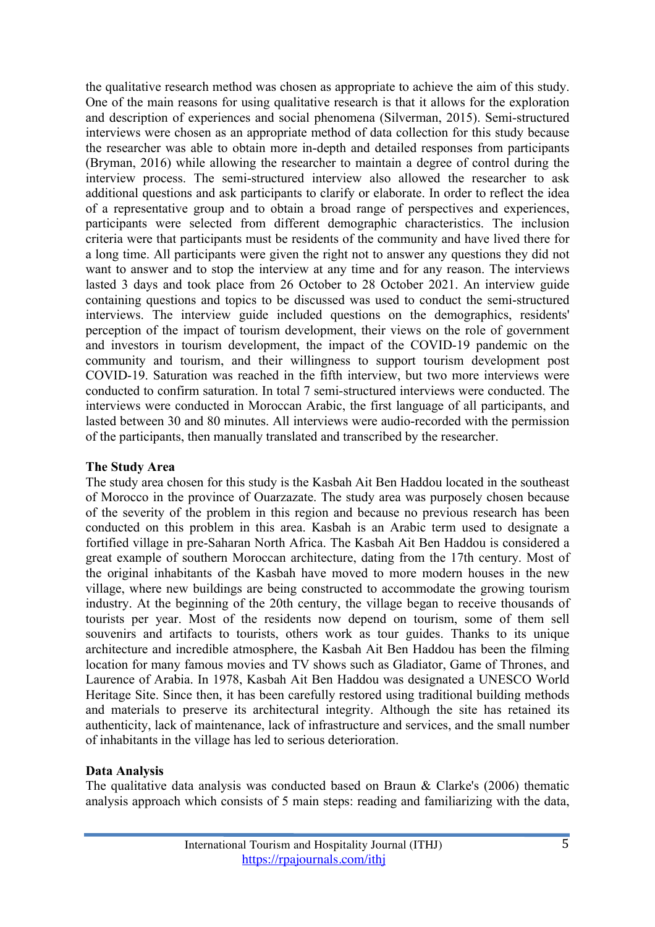the qualitative research method was chosen as appropriate to achieve the aim of this study. One of the main reasons for using qualitative research is that it allows for the exploration and description of experiences and social phenomena (Silverman, 2015). Semi-structured interviews were chosen as an appropriate method of data collection for this study because the researcher was able to obtain more in-depth and detailed responses from participants (Bryman, 2016) while allowing the researcher to maintain a degree of control during the interview process. The semi-structured interview also allowed the researcher to ask additional questions and ask participants to clarify or elaborate. In order to reflect the idea of a representative group and to obtain a broad range of perspectives and experiences, participants were selected from different demographic characteristics. The inclusion criteria were that participants must be residents of the community and have lived there for a long time. All participants were given the right not to answer any questions they did not want to answer and to stop the interview at any time and for any reason. The interviews lasted 3 days and took place from 26 October to 28 October 2021. An interview guide containing questions and topics to be discussed was used to conduct the semi-structured interviews. The interview guide included questions on the demographics, residents' perception of the impact of tourism development, their views on the role of government and investors in tourism development, the impact of the COVID-19 pandemic on the community and tourism, and their willingness to support tourism development post COVID-19. Saturation was reached in the fifth interview, but two more interviews were conducted to confirm saturation. In total 7 semi-structured interviews were conducted. The interviews were conducted in Moroccan Arabic, the first language of all participants, and lasted between 30 and 80 minutes. All interviews were audio-recorded with the permission of the participants, then manually translated and transcribed by the researcher.

#### **The Study Area**

The study area chosen for this study is the Kasbah Ait Ben Haddou located in the southeast of Morocco in the province of Ouarzazate. The study area was purposely chosen because of the severity of the problem in this region and because no previous research has been conducted on this problem in this area. Kasbah is an Arabic term used to designate a fortified village in pre-Saharan North Africa. The Kasbah Ait Ben Haddou is considered a great example of southern Moroccan architecture, dating from the 17th century. Most of the original inhabitants of the Kasbah have moved to more modern houses in the new village, where new buildings are being constructed to accommodate the growing tourism industry. At the beginning of the 20th century, the village began to receive thousands of tourists per year. Most of the residents now depend on tourism, some of them sell souvenirs and artifacts to tourists, others work as tour guides. Thanks to its unique architecture and incredible atmosphere, the Kasbah Ait Ben Haddou has been the filming location for many famous movies and TV shows such as Gladiator, Game of Thrones, and Laurence of Arabia. In 1978, Kasbah Ait Ben Haddou was designated a UNESCO World Heritage Site. Since then, it has been carefully restored using traditional building methods and materials to preserve its architectural integrity. Although the site has retained its authenticity, lack of maintenance, lack of infrastructure and services, and the small number of inhabitants in the village has led to serious deterioration.

#### **Data Analysis**

The qualitative data analysis was conducted based on Braun & Clarke's (2006) thematic analysis approach which consists of 5 main steps: reading and familiarizing with the data,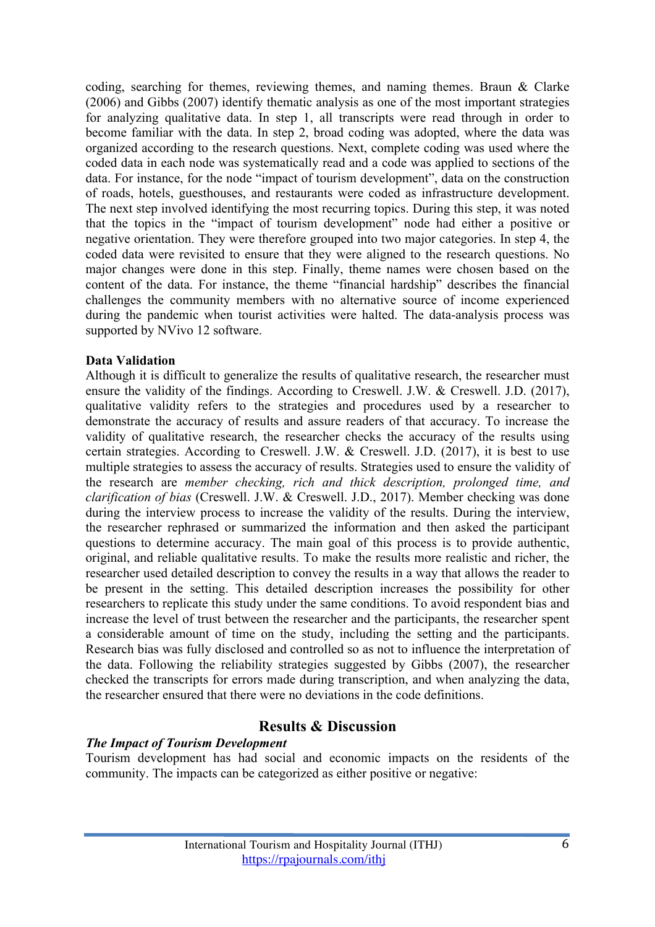coding, searching for themes, reviewing themes, and naming themes. Braun & Clarke (2006) and Gibbs (2007) identify thematic analysis as one of the most important strategies for analyzing qualitative data. In step 1, all transcripts were read through in order to become familiar with the data. In step 2, broad coding was adopted, where the data was organized according to the research questions. Next, complete coding was used where the coded data in each node was systematically read and a code was applied to sections of the data. For instance, for the node "impact of tourism development", data on the construction of roads, hotels, guesthouses, and restaurants were coded as infrastructure development. The next step involved identifying the most recurring topics. During this step, it was noted that the topics in the "impact of tourism development" node had either a positive or negative orientation. They were therefore grouped into two major categories. In step 4, the coded data were revisited to ensure that they were aligned to the research questions. No major changes were done in this step. Finally, theme names were chosen based on the content of the data. For instance, the theme "financial hardship" describes the financial challenges the community members with no alternative source of income experienced during the pandemic when tourist activities were halted. The data-analysis process was supported by NVivo 12 software.

#### **Data Validation**

Although it is difficult to generalize the results of qualitative research, the researcher must ensure the validity of the findings. According to Creswell. J.W. & Creswell. J.D. (2017), qualitative validity refers to the strategies and procedures used by a researcher to demonstrate the accuracy of results and assure readers of that accuracy. To increase the validity of qualitative research, the researcher checks the accuracy of the results using certain strategies. According to Creswell. J.W. & Creswell. J.D. (2017), it is best to use multiple strategies to assess the accuracy of results. Strategies used to ensure the validity of the research are *member checking, rich and thick description, prolonged time, and clarification of bias* (Creswell. J.W. & Creswell. J.D., 2017). Member checking was done during the interview process to increase the validity of the results. During the interview, the researcher rephrased or summarized the information and then asked the participant questions to determine accuracy. The main goal of this process is to provide authentic, original, and reliable qualitative results. To make the results more realistic and richer, the researcher used detailed description to convey the results in a way that allows the reader to be present in the setting. This detailed description increases the possibility for other researchers to replicate this study under the same conditions. To avoid respondent bias and increase the level of trust between the researcher and the participants, the researcher spent a considerable amount of time on the study, including the setting and the participants. Research bias was fully disclosed and controlled so as not to influence the interpretation of the data. Following the reliability strategies suggested by Gibbs (2007), the researcher checked the transcripts for errors made during transcription, and when analyzing the data, the researcher ensured that there were no deviations in the code definitions.

### **Results & Discussion**

#### *The Impact of Tourism Development*

Tourism development has had social and economic impacts on the residents of the community. The impacts can be categorized as either positive or negative: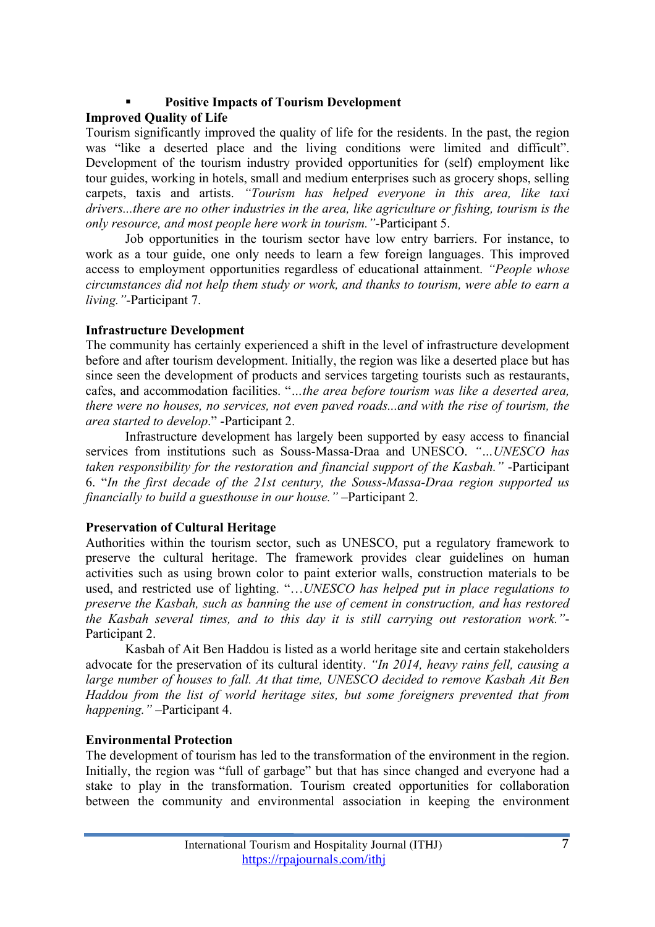# § **Positive Impacts of Tourism Development**

### **Improved Quality of Life**

Tourism significantly improved the quality of life for the residents. In the past, the region was "like a deserted place and the living conditions were limited and difficult". Development of the tourism industry provided opportunities for (self) employment like tour guides, working in hotels, small and medium enterprises such as grocery shops, selling carpets, taxis and artists. *"Tourism has helped everyone in this area, like taxi drivers...there are no other industries in the area, like agriculture or fishing, tourism is the only resource, and most people here work in tourism."-*Participant 5.

Job opportunities in the tourism sector have low entry barriers. For instance, to work as a tour guide, one only needs to learn a few foreign languages. This improved access to employment opportunities regardless of educational attainment. *"People whose circumstances did not help them study or work, and thanks to tourism, were able to earn a living."-*Participant 7.

### **Infrastructure Development**

The community has certainly experienced a shift in the level of infrastructure development before and after tourism development. Initially, the region was like a deserted place but has since seen the development of products and services targeting tourists such as restaurants, cafes, and accommodation facilities. "*…the area before tourism was like a deserted area, there were no houses, no services, not even paved roads...and with the rise of tourism, the area started to develop*." -Participant 2.

Infrastructure development has largely been supported by easy access to financial services from institutions such as Souss-Massa-Draa and UNESCO. *"…UNESCO has taken responsibility for the restoration and financial support of the Kasbah."* -Participant 6. "*In the first decade of the 21st century, the Souss-Massa-Draa region supported us financially to build a guesthouse in our house."* –Participant 2.

## **Preservation of Cultural Heritage**

Authorities within the tourism sector, such as UNESCO, put a regulatory framework to preserve the cultural heritage. The framework provides clear guidelines on human activities such as using brown color to paint exterior walls, construction materials to be used, and restricted use of lighting. "…*UNESCO has helped put in place regulations to preserve the Kasbah, such as banning the use of cement in construction, and has restored the Kasbah several times, and to this day it is still carrying out restoration work."*- Participant 2.

Kasbah of Ait Ben Haddou is listed as a world heritage site and certain stakeholders advocate for the preservation of its cultural identity. *"In 2014, heavy rains fell, causing a large number of houses to fall. At that time, UNESCO decided to remove Kasbah Ait Ben Haddou from the list of world heritage sites, but some foreigners prevented that from happening."* –Participant 4.

## **Environmental Protection**

The development of tourism has led to the transformation of the environment in the region. Initially, the region was "full of garbage" but that has since changed and everyone had a stake to play in the transformation. Tourism created opportunities for collaboration between the community and environmental association in keeping the environment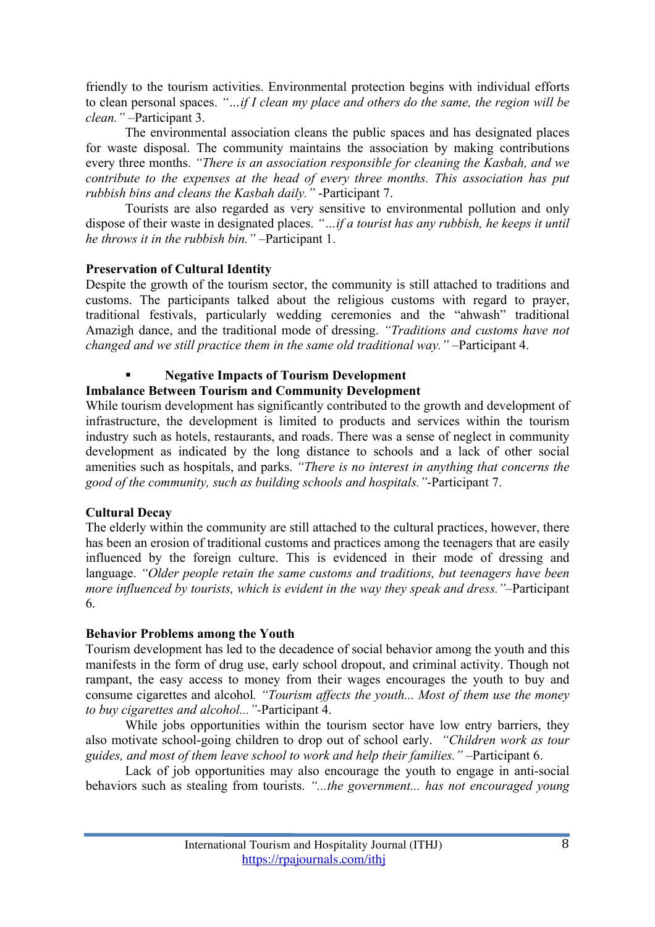friendly to the tourism activities. Environmental protection begins with individual efforts to clean personal spaces. *"…if I clean my place and others do the same, the region will be clean."* –Participant 3.

The environmental association cleans the public spaces and has designated places for waste disposal. The community maintains the association by making contributions every three months. *"There is an association responsible for cleaning the Kasbah, and we contribute to the expenses at the head of every three months. This association has put rubbish bins and cleans the Kasbah daily."* -Participant 7.

Tourists are also regarded as very sensitive to environmental pollution and only dispose of their waste in designated places. *"…if a tourist has any rubbish, he keeps it until he throws it in the rubbish bin."* –Participant 1.

### **Preservation of Cultural Identity**

Despite the growth of the tourism sector, the community is still attached to traditions and customs. The participants talked about the religious customs with regard to prayer, traditional festivals, particularly wedding ceremonies and the "ahwash" traditional Amazigh dance, and the traditional mode of dressing. *"Traditions and customs have not changed and we still practice them in the same old traditional way."* –Participant 4.

### § **Negative Impacts of Tourism Development**

### **Imbalance Between Tourism and Community Development**

While tourism development has significantly contributed to the growth and development of infrastructure, the development is limited to products and services within the tourism industry such as hotels, restaurants, and roads. There was a sense of neglect in community development as indicated by the long distance to schools and a lack of other social amenities such as hospitals, and parks. *"There is no interest in anything that concerns the good of the community, such as building schools and hospitals."*-Participant 7.

#### **Cultural Decay**

The elderly within the community are still attached to the cultural practices, however, there has been an erosion of traditional customs and practices among the teenagers that are easily influenced by the foreign culture. This is evidenced in their mode of dressing and language. *"Older people retain the same customs and traditions, but teenagers have been more influenced by tourists, which is evident in the way they speak and dress."*–Participant 6.

### **Behavior Problems among the Youth**

Tourism development has led to the decadence of social behavior among the youth and this manifests in the form of drug use, early school dropout, and criminal activity. Though not rampant, the easy access to money from their wages encourages the youth to buy and consume cigarettes and alcohol*. "Tourism affects the youth... Most of them use the money to buy cigarettes and alcohol..."-*Participant 4.

While jobs opportunities within the tourism sector have low entry barriers, they also motivate school-going children to drop out of school early. *"Children work as tour guides, and most of them leave school to work and help their families."* –Participant 6.

Lack of job opportunities may also encourage the youth to engage in anti-social behaviors such as stealing from tourists. *"...the government... has not encouraged young*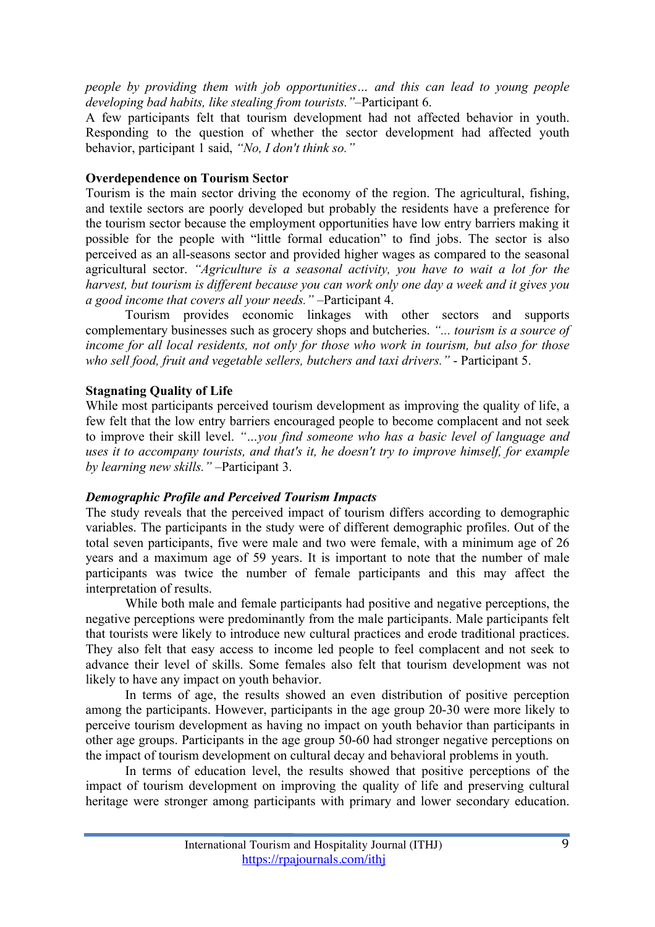*people by providing them with job opportunities… and this can lead to young people developing bad habits, like stealing from tourists."*–Participant 6.

A few participants felt that tourism development had not affected behavior in youth. Responding to the question of whether the sector development had affected youth behavior, participant 1 said, *"No, I don't think so."*

### **Overdependence on Tourism Sector**

Tourism is the main sector driving the economy of the region. The agricultural, fishing, and textile sectors are poorly developed but probably the residents have a preference for the tourism sector because the employment opportunities have low entry barriers making it possible for the people with "little formal education" to find jobs. The sector is also perceived as an all-seasons sector and provided higher wages as compared to the seasonal agricultural sector. *"Agriculture is a seasonal activity, you have to wait a lot for the harvest, but tourism is different because you can work only one day a week and it gives you a good income that covers all your needs."* –Participant 4.

Tourism provides economic linkages with other sectors and supports complementary businesses such as grocery shops and butcheries. *"... tourism is a source of income for all local residents, not only for those who work in tourism, but also for those who sell food, fruit and vegetable sellers, butchers and taxi drivers."* - Participant 5.

### **Stagnating Quality of Life**

While most participants perceived tourism development as improving the quality of life, a few felt that the low entry barriers encouraged people to become complacent and not seek to improve their skill level. *"…you find someone who has a basic level of language and uses it to accompany tourists, and that's it, he doesn't try to improve himself, for example by learning new skills."* –Participant 3.

#### *Demographic Profile and Perceived Tourism Impacts*

The study reveals that the perceived impact of tourism differs according to demographic variables. The participants in the study were of different demographic profiles. Out of the total seven participants, five were male and two were female, with a minimum age of 26 years and a maximum age of 59 years. It is important to note that the number of male participants was twice the number of female participants and this may affect the interpretation of results.

While both male and female participants had positive and negative perceptions, the negative perceptions were predominantly from the male participants. Male participants felt that tourists were likely to introduce new cultural practices and erode traditional practices. They also felt that easy access to income led people to feel complacent and not seek to advance their level of skills. Some females also felt that tourism development was not likely to have any impact on youth behavior.

In terms of age, the results showed an even distribution of positive perception among the participants. However, participants in the age group 20-30 were more likely to perceive tourism development as having no impact on youth behavior than participants in other age groups. Participants in the age group 50-60 had stronger negative perceptions on the impact of tourism development on cultural decay and behavioral problems in youth.

In terms of education level, the results showed that positive perceptions of the impact of tourism development on improving the quality of life and preserving cultural heritage were stronger among participants with primary and lower secondary education.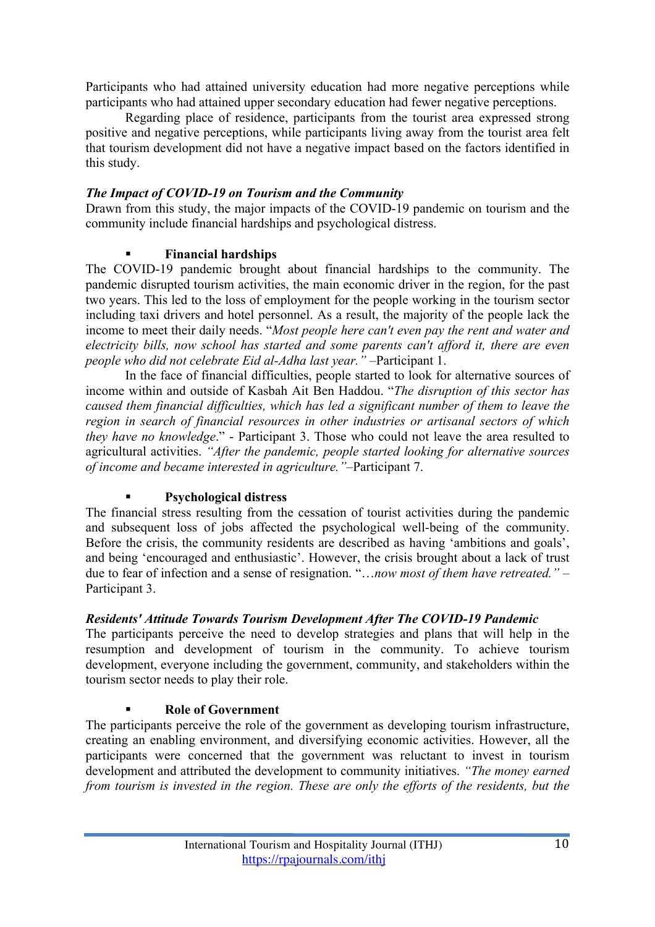Participants who had attained university education had more negative perceptions while participants who had attained upper secondary education had fewer negative perceptions.

Regarding place of residence, participants from the tourist area expressed strong positive and negative perceptions, while participants living away from the tourist area felt that tourism development did not have a negative impact based on the factors identified in this study.

### *The Impact of COVID-19 on Tourism and the Community*

Drawn from this study, the major impacts of the COVID-19 pandemic on tourism and the community include financial hardships and psychological distress.

## § **Financial hardships**

The COVID-19 pandemic brought about financial hardships to the community. The pandemic disrupted tourism activities, the main economic driver in the region, for the past two years. This led to the loss of employment for the people working in the tourism sector including taxi drivers and hotel personnel. As a result, the majority of the people lack the income to meet their daily needs. "*Most people here can't even pay the rent and water and electricity bills, now school has started and some parents can't afford it, there are even people who did not celebrate Eid al-Adha last year."* –Participant 1.

In the face of financial difficulties, people started to look for alternative sources of income within and outside of Kasbah Ait Ben Haddou. "*The disruption of this sector has caused them financial difficulties, which has led a significant number of them to leave the region in search of financial resources in other industries or artisanal sectors of which they have no knowledge*." - Participant 3. Those who could not leave the area resulted to agricultural activities. *"After the pandemic, people started looking for alternative sources of income and became interested in agriculture."*–Participant 7.

## § **Psychological distress**

The financial stress resulting from the cessation of tourist activities during the pandemic and subsequent loss of jobs affected the psychological well-being of the community. Before the crisis, the community residents are described as having 'ambitions and goals', and being 'encouraged and enthusiastic'. However, the crisis brought about a lack of trust due to fear of infection and a sense of resignation. "…*now most of them have retreated."* – Participant 3.

## *Residents' Attitude Towards Tourism Development After The COVID-19 Pandemic*

The participants perceive the need to develop strategies and plans that will help in the resumption and development of tourism in the community. To achieve tourism development, everyone including the government, community, and stakeholders within the tourism sector needs to play their role.

## § **Role of Government**

The participants perceive the role of the government as developing tourism infrastructure, creating an enabling environment, and diversifying economic activities. However, all the participants were concerned that the government was reluctant to invest in tourism development and attributed the development to community initiatives. *"The money earned from tourism is invested in the region. These are only the efforts of the residents, but the*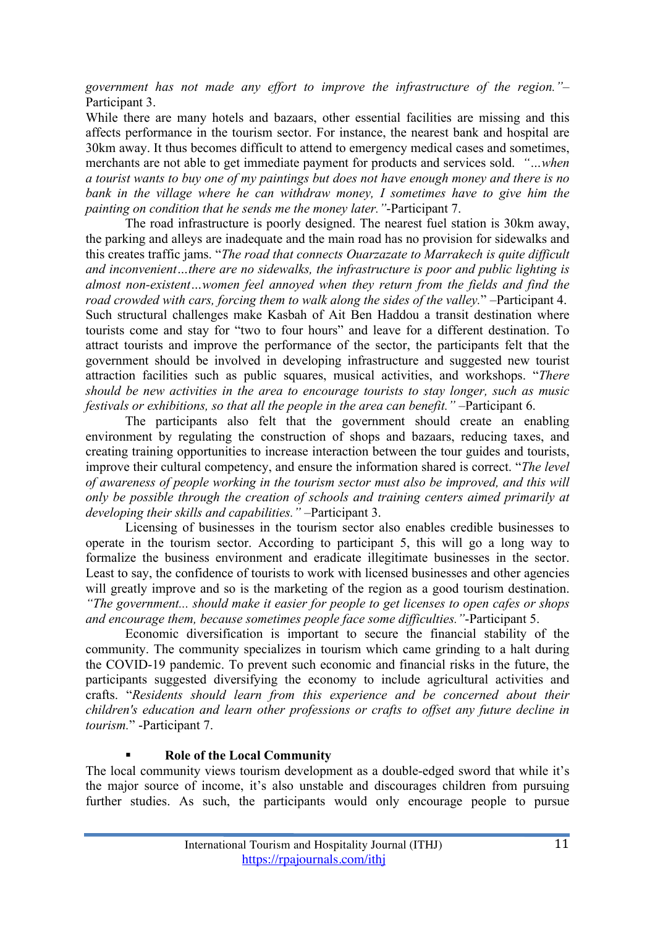*government has not made any effort to improve the infrastructure of the region."*– Participant 3.

While there are many hotels and bazaars, other essential facilities are missing and this affects performance in the tourism sector. For instance, the nearest bank and hospital are 30km away. It thus becomes difficult to attend to emergency medical cases and sometimes, merchants are not able to get immediate payment for products and services sold. *"…when a tourist wants to buy one of my paintings but does not have enough money and there is no bank in the village where he can withdraw money, I sometimes have to give him the painting on condition that he sends me the money later."*-Participant 7.

The road infrastructure is poorly designed. The nearest fuel station is 30km away, the parking and alleys are inadequate and the main road has no provision for sidewalks and this creates traffic jams. "*The road that connects Ouarzazate to Marrakech is quite difficult and inconvenient…there are no sidewalks, the infrastructure is poor and public lighting is almost non-existent…women feel annoyed when they return from the fields and find the road crowded with cars, forcing them to walk along the sides of the valley.*" –Participant 4. Such structural challenges make Kasbah of Ait Ben Haddou a transit destination where tourists come and stay for "two to four hours" and leave for a different destination. To attract tourists and improve the performance of the sector, the participants felt that the government should be involved in developing infrastructure and suggested new tourist attraction facilities such as public squares, musical activities, and workshops. "*There should be new activities in the area to encourage tourists to stay longer, such as music festivals or exhibitions, so that all the people in the area can benefit."* –Participant 6.

The participants also felt that the government should create an enabling environment by regulating the construction of shops and bazaars, reducing taxes, and creating training opportunities to increase interaction between the tour guides and tourists, improve their cultural competency, and ensure the information shared is correct. "*The level of awareness of people working in the tourism sector must also be improved, and this will only be possible through the creation of schools and training centers aimed primarily at developing their skills and capabilities."* –Participant 3.

Licensing of businesses in the tourism sector also enables credible businesses to operate in the tourism sector. According to participant 5, this will go a long way to formalize the business environment and eradicate illegitimate businesses in the sector. Least to say, the confidence of tourists to work with licensed businesses and other agencies will greatly improve and so is the marketing of the region as a good tourism destination. *"The government... should make it easier for people to get licenses to open cafes or shops and encourage them, because sometimes people face some difficulties."*-Participant 5.

Economic diversification is important to secure the financial stability of the community. The community specializes in tourism which came grinding to a halt during the COVID-19 pandemic. To prevent such economic and financial risks in the future, the participants suggested diversifying the economy to include agricultural activities and crafts. "*Residents should learn from this experience and be concerned about their children's education and learn other professions or crafts to offset any future decline in tourism.*" -Participant 7.

#### § **Role of the Local Community**

The local community views tourism development as a double-edged sword that while it's the major source of income, it's also unstable and discourages children from pursuing further studies. As such, the participants would only encourage people to pursue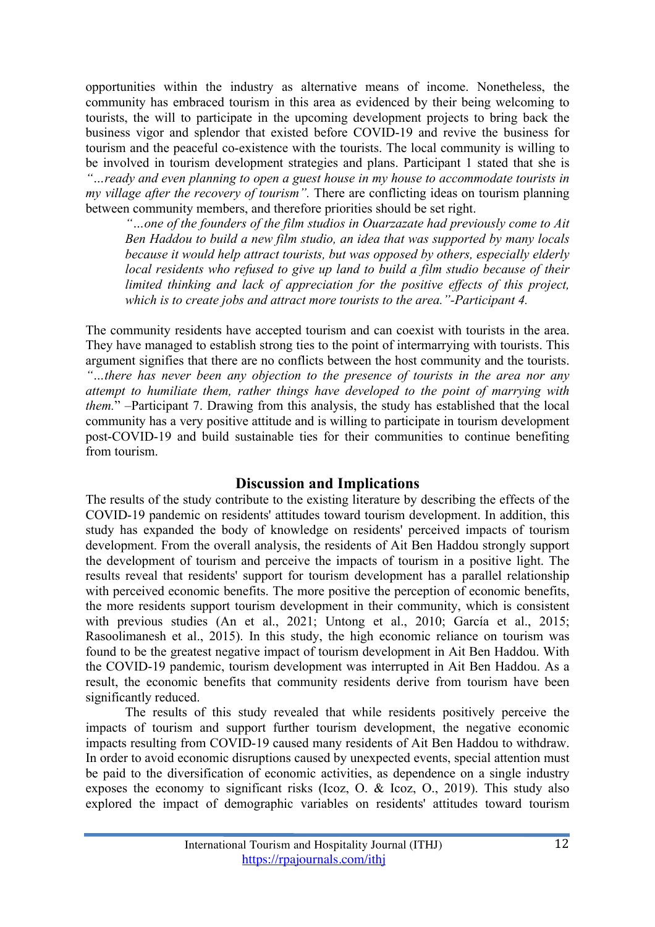opportunities within the industry as alternative means of income. Nonetheless, the community has embraced tourism in this area as evidenced by their being welcoming to tourists, the will to participate in the upcoming development projects to bring back the business vigor and splendor that existed before COVID-19 and revive the business for tourism and the peaceful co-existence with the tourists. The local community is willing to be involved in tourism development strategies and plans. Participant 1 stated that she is *"…ready and even planning to open a guest house in my house to accommodate tourists in my village after the recovery of tourism".* There are conflicting ideas on tourism planning between community members, and therefore priorities should be set right.

*"…one of the founders of the film studios in Ouarzazate had previously come to Ait Ben Haddou to build a new film studio, an idea that was supported by many locals because it would help attract tourists, but was opposed by others, especially elderly local residents who refused to give up land to build a film studio because of their limited thinking and lack of appreciation for the positive effects of this project, which is to create jobs and attract more tourists to the area."-Participant 4.*

The community residents have accepted tourism and can coexist with tourists in the area. They have managed to establish strong ties to the point of intermarrying with tourists. This argument signifies that there are no conflicts between the host community and the tourists. *"…there has never been any objection to the presence of tourists in the area nor any attempt to humiliate them, rather things have developed to the point of marrying with them.*" –Participant 7. Drawing from this analysis, the study has established that the local community has a very positive attitude and is willing to participate in tourism development post-COVID-19 and build sustainable ties for their communities to continue benefiting from tourism.

### **Discussion and Implications**

The results of the study contribute to the existing literature by describing the effects of the COVID-19 pandemic on residents' attitudes toward tourism development. In addition, this study has expanded the body of knowledge on residents' perceived impacts of tourism development. From the overall analysis, the residents of Ait Ben Haddou strongly support the development of tourism and perceive the impacts of tourism in a positive light. The results reveal that residents' support for tourism development has a parallel relationship with perceived economic benefits. The more positive the perception of economic benefits, the more residents support tourism development in their community, which is consistent with previous studies (An et al., 2021; Untong et al., 2010; García et al., 2015; Rasoolimanesh et al., 2015). In this study, the high economic reliance on tourism was found to be the greatest negative impact of tourism development in Ait Ben Haddou. With the COVID-19 pandemic, tourism development was interrupted in Ait Ben Haddou. As a result, the economic benefits that community residents derive from tourism have been significantly reduced.

The results of this study revealed that while residents positively perceive the impacts of tourism and support further tourism development, the negative economic impacts resulting from COVID-19 caused many residents of Ait Ben Haddou to withdraw. In order to avoid economic disruptions caused by unexpected events, special attention must be paid to the diversification of economic activities, as dependence on a single industry exposes the economy to significant risks (Icoz, O. & Icoz, O., 2019). This study also explored the impact of demographic variables on residents' attitudes toward tourism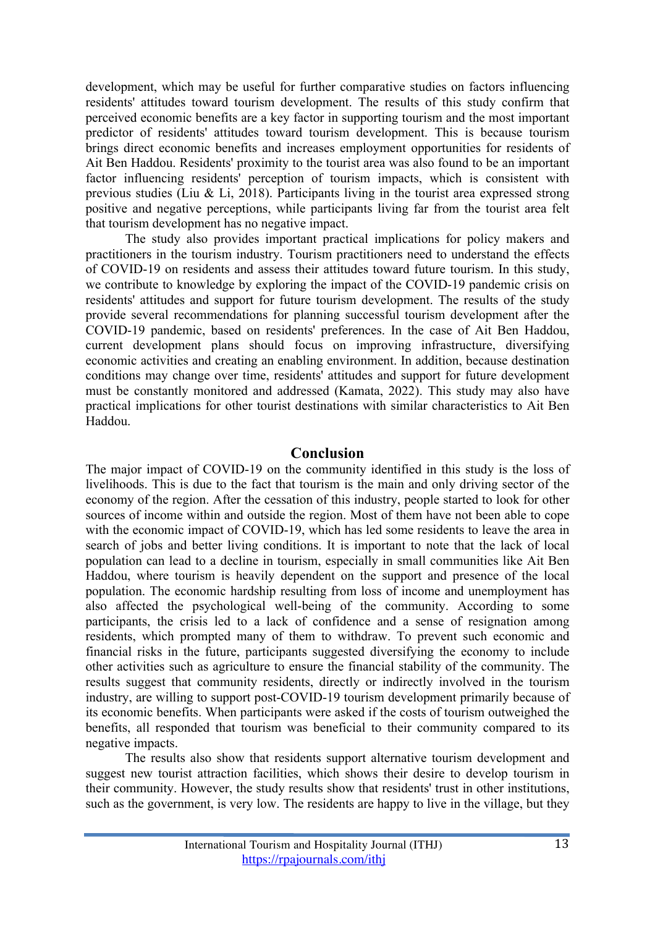development, which may be useful for further comparative studies on factors influencing residents' attitudes toward tourism development. The results of this study confirm that perceived economic benefits are a key factor in supporting tourism and the most important predictor of residents' attitudes toward tourism development. This is because tourism brings direct economic benefits and increases employment opportunities for residents of Ait Ben Haddou. Residents' proximity to the tourist area was also found to be an important factor influencing residents' perception of tourism impacts, which is consistent with previous studies (Liu & Li, 2018). Participants living in the tourist area expressed strong positive and negative perceptions, while participants living far from the tourist area felt that tourism development has no negative impact.

The study also provides important practical implications for policy makers and practitioners in the tourism industry. Tourism practitioners need to understand the effects of COVID-19 on residents and assess their attitudes toward future tourism. In this study, we contribute to knowledge by exploring the impact of the COVID-19 pandemic crisis on residents' attitudes and support for future tourism development. The results of the study provide several recommendations for planning successful tourism development after the COVID-19 pandemic, based on residents' preferences. In the case of Ait Ben Haddou, current development plans should focus on improving infrastructure, diversifying economic activities and creating an enabling environment. In addition, because destination conditions may change over time, residents' attitudes and support for future development must be constantly monitored and addressed (Kamata, 2022). This study may also have practical implications for other tourist destinations with similar characteristics to Ait Ben Haddou.

### **Conclusion**

The major impact of COVID-19 on the community identified in this study is the loss of livelihoods. This is due to the fact that tourism is the main and only driving sector of the economy of the region. After the cessation of this industry, people started to look for other sources of income within and outside the region. Most of them have not been able to cope with the economic impact of COVID-19, which has led some residents to leave the area in search of jobs and better living conditions. It is important to note that the lack of local population can lead to a decline in tourism, especially in small communities like Ait Ben Haddou, where tourism is heavily dependent on the support and presence of the local population. The economic hardship resulting from loss of income and unemployment has also affected the psychological well-being of the community. According to some participants, the crisis led to a lack of confidence and a sense of resignation among residents, which prompted many of them to withdraw. To prevent such economic and financial risks in the future, participants suggested diversifying the economy to include other activities such as agriculture to ensure the financial stability of the community. The results suggest that community residents, directly or indirectly involved in the tourism industry, are willing to support post-COVID-19 tourism development primarily because of its economic benefits. When participants were asked if the costs of tourism outweighed the benefits, all responded that tourism was beneficial to their community compared to its negative impacts.

The results also show that residents support alternative tourism development and suggest new tourist attraction facilities, which shows their desire to develop tourism in their community. However, the study results show that residents' trust in other institutions, such as the government, is very low. The residents are happy to live in the village, but they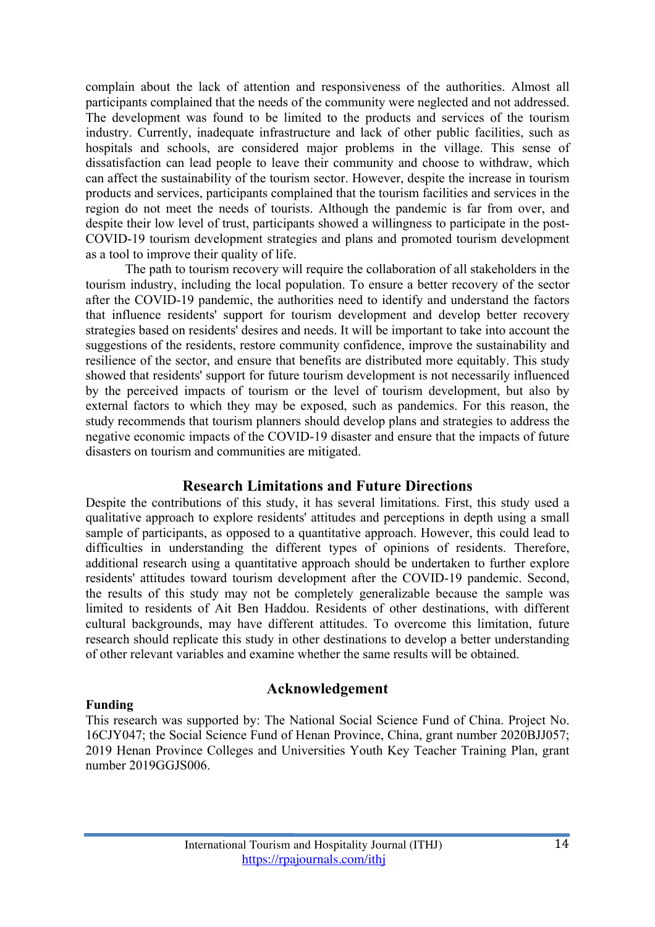complain about the lack of attention and responsiveness of the authorities. Almost all participants complained that the needs of the community were neglected and not addressed. The development was found to be limited to the products and services of the tourism industry. Currently, inadequate infrastructure and lack of other public facilities, such as hospitals and schools, are considered major problems in the village. This sense of dissatisfaction can lead people to leave their community and choose to withdraw, which can affect the sustainability of the tourism sector. However, despite the increase in tourism products and services, participants complained that the tourism facilities and services in the region do not meet the needs of tourists. Although the pandemic is far from over, and despite their low level of trust, participants showed a willingness to participate in the post-COVID-19 tourism development strategies and plans and promoted tourism development as a tool to improve their quality of life.

The path to tourism recovery will require the collaboration of all stakeholders in the tourism industry, including the local population. To ensure a better recovery of the sector after the COVID-19 pandemic, the authorities need to identify and understand the factors that influence residents' support for tourism development and develop better recovery strategies based on residents' desires and needs. It will be important to take into account the suggestions of the residents, restore community confidence, improve the sustainability and resilience of the sector, and ensure that benefits are distributed more equitably. This study showed that residents' support for future tourism development is not necessarily influenced by the perceived impacts of tourism or the level of tourism development, but also by external factors to which they may be exposed, such as pandemics. For this reason, the study recommends that tourism planners should develop plans and strategies to address the negative economic impacts of the COVID-19 disaster and ensure that the impacts of future disasters on tourism and communities are mitigated.

### **Research Limitations and Future Directions**

Despite the contributions of this study, it has several limitations. First, this study used a qualitative approach to explore residents' attitudes and perceptions in depth using a small sample of participants, as opposed to a quantitative approach. However, this could lead to difficulties in understanding the different types of opinions of residents. Therefore, additional research using a quantitative approach should be undertaken to further explore residents' attitudes toward tourism development after the COVID-19 pandemic. Second, the results of this study may not be completely generalizable because the sample was limited to residents of Ait Ben Haddou. Residents of other destinations, with different cultural backgrounds, may have different attitudes. To overcome this limitation, future research should replicate this study in other destinations to develop a better understanding of other relevant variables and examine whether the same results will be obtained.

#### **Funding**

### **Acknowledgement**

This research was supported by: The National Social Science Fund of China. Project No. 16CJY047; the Social Science Fund of Henan Province, China, grant number 2020BJJ057; 2019 Henan Province Colleges and Universities Youth Key Teacher Training Plan, grant number 2019GGJS006.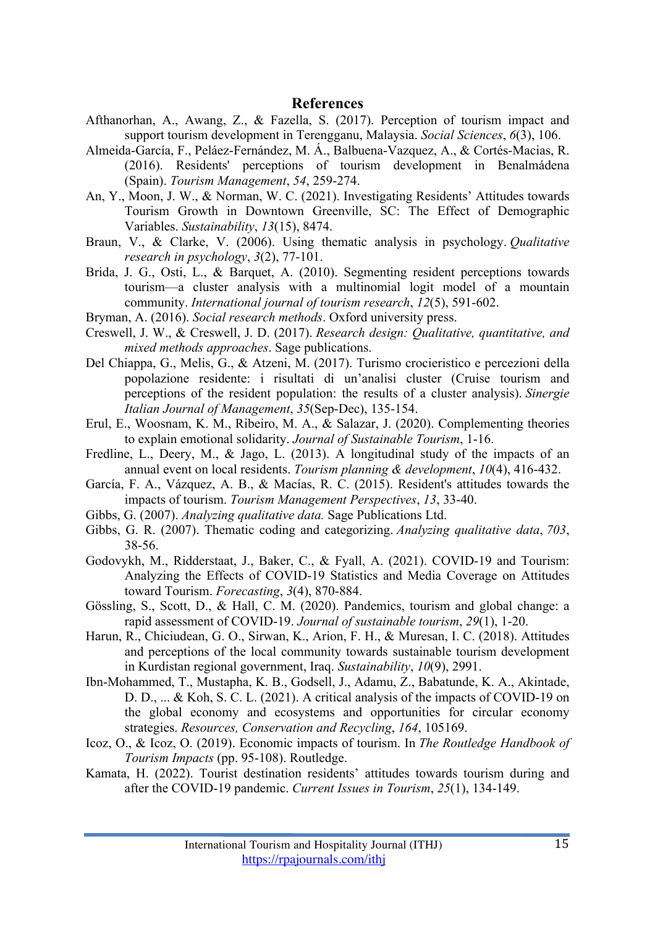#### **References**

- Afthanorhan, A., Awang, Z., & Fazella, S. (2017). Perception of tourism impact and support tourism development in Terengganu, Malaysia. *Social Sciences*, *6*(3), 106.
- Almeida-García, F., Peláez-Fernández, M. Á., Balbuena-Vazquez, A., & Cortés-Macias, R. (2016). Residents' perceptions of tourism development in Benalmádena (Spain). *Tourism Management*, *54*, 259-274.
- An, Y., Moon, J. W., & Norman, W. C. (2021). Investigating Residents' Attitudes towards Tourism Growth in Downtown Greenville, SC: The Effect of Demographic Variables. *Sustainability*, *13*(15), 8474.
- Braun, V., & Clarke, V. (2006). Using thematic analysis in psychology. *Qualitative research in psychology*, *3*(2), 77-101.
- Brida, J. G., Osti, L., & Barquet, A. (2010). Segmenting resident perceptions towards tourism—a cluster analysis with a multinomial logit model of a mountain community. *International journal of tourism research*, *12*(5), 591-602.
- Bryman, A. (2016). *Social research methods*. Oxford university press.
- Creswell, J. W., & Creswell, J. D. (2017). *Research design: Qualitative, quantitative, and mixed methods approaches*. Sage publications.
- Del Chiappa, G., Melis, G., & Atzeni, M. (2017). Turismo crocieristico e percezioni della popolazione residente: i risultati di un'analisi cluster (Cruise tourism and perceptions of the resident population: the results of a cluster analysis). *Sinergie Italian Journal of Management*, *35*(Sep-Dec), 135-154.
- Erul, E., Woosnam, K. M., Ribeiro, M. A., & Salazar, J. (2020). Complementing theories to explain emotional solidarity. *Journal of Sustainable Tourism*, 1-16.
- Fredline, L., Deery, M., & Jago, L. (2013). A longitudinal study of the impacts of an annual event on local residents. *Tourism planning & development*, *10*(4), 416-432.
- García, F. A., Vázquez, A. B., & Macías, R. C. (2015). Resident's attitudes towards the impacts of tourism. *Tourism Management Perspectives*, *13*, 33-40.
- Gibbs, G. (2007). *Analyzing qualitative data.* Sage Publications Ltd.
- Gibbs, G. R. (2007). Thematic coding and categorizing. *Analyzing qualitative data*, *703*, 38-56.
- Godovykh, M., Ridderstaat, J., Baker, C., & Fyall, A. (2021). COVID-19 and Tourism: Analyzing the Effects of COVID-19 Statistics and Media Coverage on Attitudes toward Tourism. *Forecasting*, *3*(4), 870-884.
- Gössling, S., Scott, D., & Hall, C. M. (2020). Pandemics, tourism and global change: a rapid assessment of COVID-19. *Journal of sustainable tourism*, *29*(1), 1-20.
- Harun, R., Chiciudean, G. O., Sirwan, K., Arion, F. H., & Muresan, I. C. (2018). Attitudes and perceptions of the local community towards sustainable tourism development in Kurdistan regional government, Iraq. *Sustainability*, *10*(9), 2991.
- Ibn-Mohammed, T., Mustapha, K. B., Godsell, J., Adamu, Z., Babatunde, K. A., Akintade, D. D., ... & Koh, S. C. L. (2021). A critical analysis of the impacts of COVID-19 on the global economy and ecosystems and opportunities for circular economy strategies. *Resources, Conservation and Recycling*, *164*, 105169.
- Icoz, O., & Icoz, O. (2019). Economic impacts of tourism. In *The Routledge Handbook of Tourism Impacts* (pp. 95-108). Routledge.
- Kamata, H. (2022). Tourist destination residents' attitudes towards tourism during and after the COVID-19 pandemic. *Current Issues in Tourism*, *25*(1), 134-149.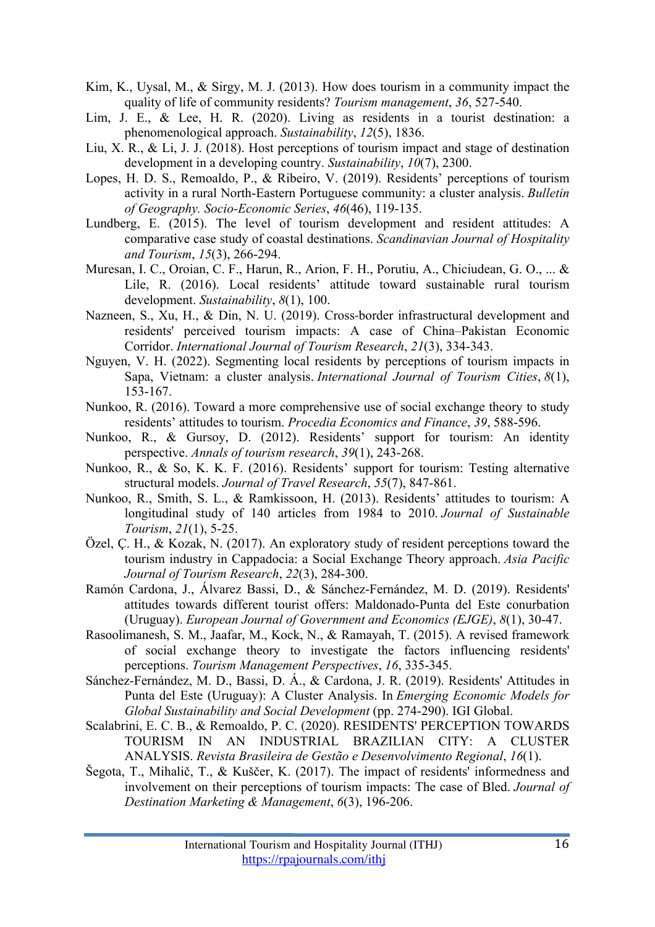- Kim, K., Uysal, M., & Sirgy, M. J. (2013). How does tourism in a community impact the quality of life of community residents? *Tourism management*, *36*, 527-540.
- Lim, J. E., & Lee, H. R. (2020). Living as residents in a tourist destination: a phenomenological approach. *Sustainability*, *12*(5), 1836.
- Liu, X. R., & Li, J. J. (2018). Host perceptions of tourism impact and stage of destination development in a developing country. *Sustainability*, *10*(7), 2300.
- Lopes, H. D. S., Remoaldo, P., & Ribeiro, V. (2019). Residents' perceptions of tourism activity in a rural North-Eastern Portuguese community: a cluster analysis. *Bulletin of Geography. Socio-Economic Series*, *46*(46), 119-135.
- Lundberg, E. (2015). The level of tourism development and resident attitudes: A comparative case study of coastal destinations. *Scandinavian Journal of Hospitality and Tourism*, *15*(3), 266-294.
- Muresan, I. C., Oroian, C. F., Harun, R., Arion, F. H., Porutiu, A., Chiciudean, G. O., ... & Lile, R. (2016). Local residents' attitude toward sustainable rural tourism development. *Sustainability*, *8*(1), 100.
- Nazneen, S., Xu, H., & Din, N. U. (2019). Cross-border infrastructural development and residents' perceived tourism impacts: A case of China–Pakistan Economic Corridor. *International Journal of Tourism Research*, *21*(3), 334-343.
- Nguyen, V. H. (2022). Segmenting local residents by perceptions of tourism impacts in Sapa, Vietnam: a cluster analysis. *International Journal of Tourism Cities*, *8*(1), 153-167.
- Nunkoo, R. (2016). Toward a more comprehensive use of social exchange theory to study residents' attitudes to tourism. *Procedia Economics and Finance*, *39*, 588-596.
- Nunkoo, R., & Gursoy, D. (2012). Residents' support for tourism: An identity perspective. *Annals of tourism research*, *39*(1), 243-268.
- Nunkoo, R., & So, K. K. F. (2016). Residents' support for tourism: Testing alternative structural models. *Journal of Travel Research*, *55*(7), 847-861.
- Nunkoo, R., Smith, S. L., & Ramkissoon, H. (2013). Residents' attitudes to tourism: A longitudinal study of 140 articles from 1984 to 2010. *Journal of Sustainable Tourism*, *21*(1), 5-25.
- Özel, Ç. H., & Kozak, N. (2017). An exploratory study of resident perceptions toward the tourism industry in Cappadocia: a Social Exchange Theory approach. *Asia Pacific Journal of Tourism Research*, *22*(3), 284-300.
- Ramón Cardona, J., Álvarez Bassi, D., & Sánchez-Fernández, M. D. (2019). Residents' attitudes towards different tourist offers: Maldonado-Punta del Este conurbation (Uruguay). *European Journal of Government and Economics (EJGE)*, *8*(1), 30-47.
- Rasoolimanesh, S. M., Jaafar, M., Kock, N., & Ramayah, T. (2015). A revised framework of social exchange theory to investigate the factors influencing residents' perceptions. *Tourism Management Perspectives*, *16*, 335-345.
- Sánchez-Fernández, M. D., Bassi, D. Á., & Cardona, J. R. (2019). Residents' Attitudes in Punta del Este (Uruguay): A Cluster Analysis. In *Emerging Economic Models for Global Sustainability and Social Development* (pp. 274-290). IGI Global.
- Scalabrini, E. C. B., & Remoaldo, P. C. (2020). RESIDENTS' PERCEPTION TOWARDS TOURISM IN AN INDUSTRIAL BRAZILIAN CITY: A CLUSTER ANALYSIS. *Revista Brasileira de Gestão e Desenvolvimento Regional*, *16*(1).
- Šegota, T., Mihalič, T., & Kuščer, K. (2017). The impact of residents' informedness and involvement on their perceptions of tourism impacts: The case of Bled. *Journal of Destination Marketing & Management*, *6*(3), 196-206.